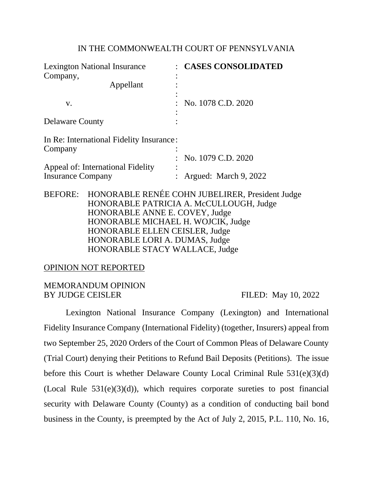### IN THE COMMONWEALTH COURT OF PENNSYLVANIA

| <b>Lexington National Insurance</b><br>Company,               |                                          | <b>CASES CONSOLIDATED</b>                                                                          |  |  |  |
|---------------------------------------------------------------|------------------------------------------|----------------------------------------------------------------------------------------------------|--|--|--|
|                                                               | Appellant                                |                                                                                                    |  |  |  |
| V.                                                            |                                          | No. 1078 C.D. 2020                                                                                 |  |  |  |
| <b>Delaware County</b>                                        |                                          |                                                                                                    |  |  |  |
| Company                                                       | In Re: International Fidelity Insurance: |                                                                                                    |  |  |  |
|                                                               |                                          | No. 1079 C.D. 2020                                                                                 |  |  |  |
| Appeal of: International Fidelity<br><b>Insurance Company</b> |                                          | Argued: March 9, 2022                                                                              |  |  |  |
|                                                               |                                          | BEFORE: HONORABLE RENÉE COHN JUBELIRER, President Judge<br>HONORABLE PATRICIA A. McCULLOUGH, Judge |  |  |  |
|                                                               | HONORABLE ANNE E. COVEY, Judge           |                                                                                                    |  |  |  |
|                                                               | HONORABLE MICHAEL H. WOJCIK, Judge       |                                                                                                    |  |  |  |
|                                                               | HONORABLE ELLEN CEISLER, Judge           |                                                                                                    |  |  |  |
|                                                               | HONORABLE LORI A. DUMAS, Judge           |                                                                                                    |  |  |  |
|                                                               | HONORABLE STACY WALLACE, Judge           |                                                                                                    |  |  |  |

### OPINION NOT REPORTED

### MEMORANDUM OPINION BY JUDGE CEISLER FILED: May 10, 2022

Lexington National Insurance Company (Lexington) and International Fidelity Insurance Company (International Fidelity) (together, Insurers) appeal from two September 25, 2020 Orders of the Court of Common Pleas of Delaware County (Trial Court) denying their Petitions to Refund Bail Deposits (Petitions). The issue before this Court is whether Delaware County Local Criminal Rule 531(e)(3)(d) (Local Rule  $531(e)(3)(d)$ ), which requires corporate sureties to post financial security with Delaware County (County) as a condition of conducting bail bond business in the County, is preempted by the Act of July 2, 2015, P.L. 110, No. 16,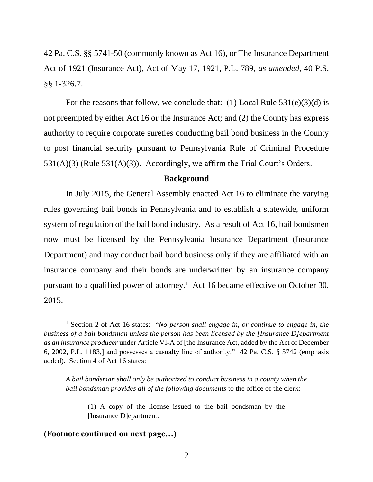42 Pa. C.S. §§ 5741-50 (commonly known as Act 16), or The Insurance Department Act of 1921 (Insurance Act), Act of May 17, 1921, P.L. 789, *as amended*, 40 P.S. §§ 1-326.7.

For the reasons that follow, we conclude that: (1) Local Rule  $531(e)(3)(d)$  is not preempted by either Act 16 or the Insurance Act; and (2) the County has express authority to require corporate sureties conducting bail bond business in the County to post financial security pursuant to Pennsylvania Rule of Criminal Procedure 531(A)(3) (Rule 531(A)(3)). Accordingly, we affirm the Trial Court's Orders.

#### **Background**

In July 2015, the General Assembly enacted Act 16 to eliminate the varying rules governing bail bonds in Pennsylvania and to establish a statewide, uniform system of regulation of the bail bond industry. As a result of Act 16, bail bondsmen now must be licensed by the Pennsylvania Insurance Department (Insurance Department) and may conduct bail bond business only if they are affiliated with an insurance company and their bonds are underwritten by an insurance company pursuant to a qualified power of attorney.<sup>1</sup> Act 16 became effective on October 30, 2015.

*A bail bondsman shall only be authorized to conduct business in a county when the bail bondsman provides all of the following documents* to the office of the clerk:

(1) A copy of the license issued to the bail bondsman by the [Insurance D]epartment.

#### **(Footnote continued on next page…)**

<sup>1</sup> Section 2 of Act 16 states: "*No person shall engage in, or continue to engage in, the business of a bail bondsman unless the person has been licensed by the [Insurance D]epartment as an insurance producer* under Article VI-A of [the Insurance Act, added by the Act of December 6, 2002, P.L. 1183,] and possesses a casualty line of authority." 42 Pa. C.S. § 5742 (emphasis added). Section 4 of Act 16 states: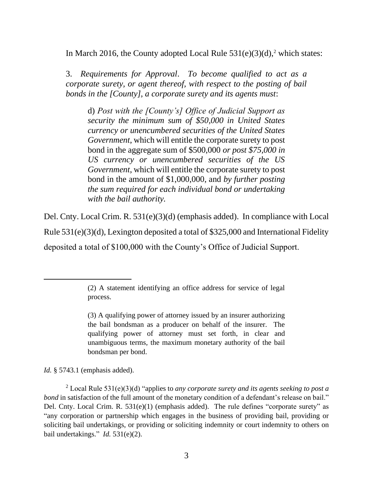In March 2016, the County adopted Local Rule  $531(e)(3)(d)$ ,<sup>2</sup> which states:

3. *Requirements for Approval*. *To become qualified to act as a corporate surety, or agent thereof, with respect to the posting of bail bonds in the [County], a corporate surety and its agents must*:

d) *Post with the [County's] Office of Judicial Support as security the minimum sum of \$50,000 in United States currency or unencumbered securities of the United States Government*, which will entitle the corporate surety to post bond in the aggregate sum of \$500,000 *or post \$75,000 in US currency or unencumbered securities of the US Government*, which will entitle the corporate surety to post bond in the amount of \$1,000,000, and *by further posting the sum required for each individual bond or undertaking with the bail authority.*

Del. Cnty. Local Crim. R. 531(e)(3)(d) (emphasis added). In compliance with Local Rule 531(e)(3)(d), Lexington deposited a total of \$325,000 and International Fidelity deposited a total of \$100,000 with the County's Office of Judicial Support.

*Id.* § 5743.1 (emphasis added).

<sup>(2)</sup> A statement identifying an office address for service of legal process.

<sup>(3)</sup> A qualifying power of attorney issued by an insurer authorizing the bail bondsman as a producer on behalf of the insurer. The qualifying power of attorney must set forth, in clear and unambiguous terms, the maximum monetary authority of the bail bondsman per bond.

<sup>2</sup> Local Rule 531(e)(3)(d) "applies to *any corporate surety and its agents seeking to post a bond* in satisfaction of the full amount of the monetary condition of a defendant's release on bail." Del. Cnty. Local Crim. R. 531(e)(1) (emphasis added). The rule defines "corporate surety" as "any corporation or partnership which engages in the business of providing bail, providing or soliciting bail undertakings, or providing or soliciting indemnity or court indemnity to others on bail undertakings." *Id.* 531(e)(2).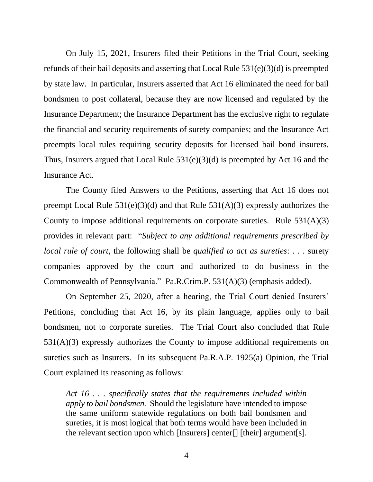On July 15, 2021, Insurers filed their Petitions in the Trial Court, seeking refunds of their bail deposits and asserting that Local Rule 531(e)(3)(d) is preempted by state law. In particular, Insurers asserted that Act 16 eliminated the need for bail bondsmen to post collateral, because they are now licensed and regulated by the Insurance Department; the Insurance Department has the exclusive right to regulate the financial and security requirements of surety companies; and the Insurance Act preempts local rules requiring security deposits for licensed bail bond insurers. Thus, Insurers argued that Local Rule 531(e)(3)(d) is preempted by Act 16 and the Insurance Act.

The County filed Answers to the Petitions, asserting that Act 16 does not preempt Local Rule 531(e)(3)(d) and that Rule 531(A)(3) expressly authorizes the County to impose additional requirements on corporate sureties. Rule 531(A)(3) provides in relevant part: "*Subject to any additional requirements prescribed by local rule of court*, the following shall be *qualified to act as sureties*: . . . surety companies approved by the court and authorized to do business in the Commonwealth of Pennsylvania." Pa.R.Crim.P. 531(A)(3) (emphasis added).

On September 25, 2020, after a hearing, the Trial Court denied Insurers' Petitions, concluding that Act 16, by its plain language, applies only to bail bondsmen, not to corporate sureties. The Trial Court also concluded that Rule 531(A)(3) expressly authorizes the County to impose additional requirements on sureties such as Insurers. In its subsequent Pa.R.A.P. 1925(a) Opinion, the Trial Court explained its reasoning as follows:

*Act 16 . . . specifically states that the requirements included within apply to bail bondsmen.* Should the legislature have intended to impose the same uniform statewide regulations on both bail bondsmen and sureties, it is most logical that both terms would have been included in the relevant section upon which [Insurers] center[] [their] argument[s].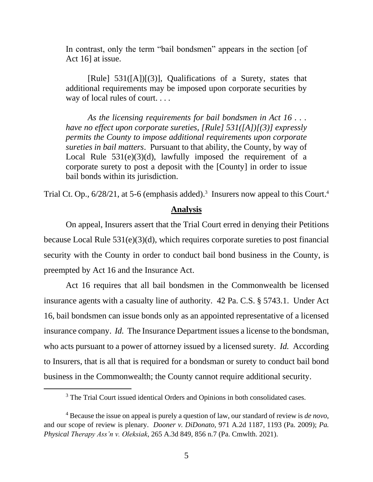In contrast, only the term "bail bondsmen" appears in the section [of Act 16] at issue.

[Rule] 531([A])[(3)], Qualifications of a Surety, states that additional requirements may be imposed upon corporate securities by way of local rules of court. . . .

*As the licensing requirements for bail bondsmen in Act 16 . . . have no effect upon corporate sureties, [Rule] 531([A])[(3)] expressly permits the County to impose additional requirements upon corporate sureties in bail matters*. Pursuant to that ability, the County, by way of Local Rule  $531(e)(3)(d)$ , lawfully imposed the requirement of a corporate surety to post a deposit with the [County] in order to issue bail bonds within its jurisdiction.

Trial Ct. Op.,  $6/28/21$ , at 5-6 (emphasis added).<sup>3</sup> Insurers now appeal to this Court.<sup>4</sup>

#### **Analysis**

On appeal, Insurers assert that the Trial Court erred in denying their Petitions because Local Rule 531(e)(3)(d), which requires corporate sureties to post financial security with the County in order to conduct bail bond business in the County, is preempted by Act 16 and the Insurance Act.

Act 16 requires that all bail bondsmen in the Commonwealth be licensed insurance agents with a casualty line of authority. 42 Pa. C.S. § 5743.1. Under Act 16, bail bondsmen can issue bonds only as an appointed representative of a licensed insurance company. *Id.* The Insurance Department issues a license to the bondsman, who acts pursuant to a power of attorney issued by a licensed surety. *Id.* According to Insurers, that is all that is required for a bondsman or surety to conduct bail bond business in the Commonwealth; the County cannot require additional security.

<sup>&</sup>lt;sup>3</sup> The Trial Court issued identical Orders and Opinions in both consolidated cases.

<sup>4</sup> Because the issue on appeal is purely a question of law, our standard of review is *de novo*, and our scope of review is plenary. *Dooner v. DiDonato*, 971 A.2d 1187, 1193 (Pa. 2009); *Pa. Physical Therapy Ass'n v. Oleksiak*, 265 A.3d 849, 856 n.7 (Pa. Cmwlth. 2021).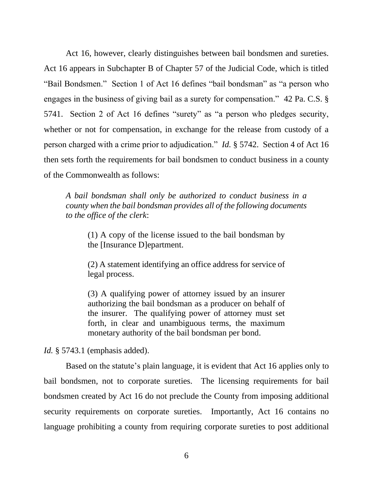Act 16, however, clearly distinguishes between bail bondsmen and sureties. Act 16 appears in Subchapter B of Chapter 57 of the Judicial Code, which is titled "Bail Bondsmen." Section 1 of Act 16 defines "bail bondsman" as "a person who engages in the business of giving bail as a surety for compensation." 42 Pa. C.S. § 5741. Section 2 of Act 16 defines "surety" as "a person who pledges security, whether or not for compensation, in exchange for the release from custody of a person charged with a crime prior to adjudication." *Id.* § 5742. Section 4 of Act 16 then sets forth the requirements for bail bondsmen to conduct business in a county of the Commonwealth as follows:

*A bail bondsman shall only be authorized to conduct business in a county when the bail bondsman provides all of the following documents to the office of the clerk*:

(1) A copy of the license issued to the bail bondsman by the [Insurance D]epartment.

(2) A statement identifying an office address for service of legal process.

(3) A qualifying power of attorney issued by an insurer authorizing the bail bondsman as a producer on behalf of the insurer. The qualifying power of attorney must set forth, in clear and unambiguous terms, the maximum monetary authority of the bail bondsman per bond.

*Id.* § 5743.1 (emphasis added).

Based on the statute's plain language, it is evident that Act 16 applies only to bail bondsmen, not to corporate sureties. The licensing requirements for bail bondsmen created by Act 16 do not preclude the County from imposing additional security requirements on corporate sureties. Importantly, Act 16 contains no language prohibiting a county from requiring corporate sureties to post additional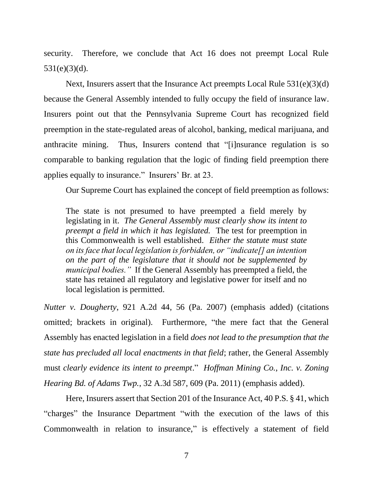security. Therefore, we conclude that Act 16 does not preempt Local Rule  $531(e)(3)(d)$ .

Next, Insurers assert that the Insurance Act preempts Local Rule 531(e)(3)(d) because the General Assembly intended to fully occupy the field of insurance law. Insurers point out that the Pennsylvania Supreme Court has recognized field preemption in the state-regulated areas of alcohol, banking, medical marijuana, and anthracite mining. Thus, Insurers contend that "[i]nsurance regulation is so comparable to banking regulation that the logic of finding field preemption there applies equally to insurance." Insurers' Br. at 23.

Our Supreme Court has explained the concept of field preemption as follows:

The state is not presumed to have preempted a field merely by legislating in it. *The General Assembly must clearly show its intent to preempt a field in which it has legislated.* The test for preemption in this Commonwealth is well established. *Either the statute must state on its face that local legislation is forbidden, or "indicate[] an intention on the part of the legislature that it should not be supplemented by municipal bodies."* If the General Assembly has preempted a field, the state has retained all regulatory and legislative power for itself and no local legislation is permitted.

*Nutter v. Dougherty*, 921 A.2d 44, 56 (Pa. 2007) (emphasis added) (citations omitted; brackets in original). Furthermore, "the mere fact that the General Assembly has enacted legislation in a field *does not lead to the presumption that the state has precluded all local enactments in that field*; rather, the General Assembly must *clearly evidence its intent to preempt*." *Hoffman Mining Co., Inc. v. Zoning Hearing Bd. of Adams Twp.*, 32 A.3d 587, 609 (Pa. 2011) (emphasis added).

Here, Insurers assert that Section 201 of the Insurance Act, 40 P.S. § 41, which "charges" the Insurance Department "with the execution of the laws of this Commonwealth in relation to insurance," is effectively a statement of field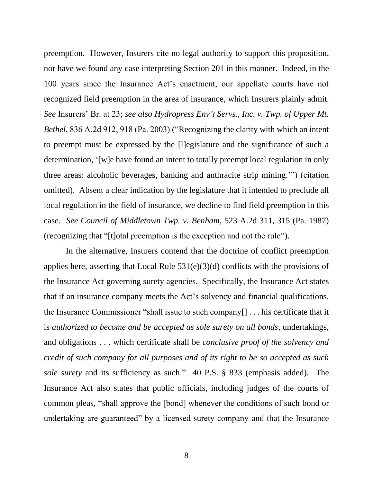preemption. However, Insurers cite no legal authority to support this proposition, nor have we found any case interpreting Section 201 in this manner. Indeed, in the 100 years since the Insurance Act's enactment, our appellate courts have not recognized field preemption in the area of insurance, which Insurers plainly admit. *See* Insurers' Br. at 23; *see also Hydropress Env't Servs., Inc. v. Twp. of Upper Mt. Bethel*, 836 A.2d 912, 918 (Pa. 2003) ("Recognizing the clarity with which an intent to preempt must be expressed by the [l]egislature and the significance of such a determination, '[w]e have found an intent to totally preempt local regulation in only three areas: alcoholic beverages, banking and anthracite strip mining.'") (citation omitted). Absent a clear indication by the legislature that it intended to preclude all local regulation in the field of insurance, we decline to find field preemption in this case. *See Council of Middletown Twp. v. Benham*, 523 A.2d 311, 315 (Pa. 1987) (recognizing that "[t]otal preemption is the exception and not the rule").

In the alternative, Insurers contend that the doctrine of conflict preemption applies here, asserting that Local Rule 531(e)(3)(d) conflicts with the provisions of the Insurance Act governing surety agencies. Specifically, the Insurance Act states that if an insurance company meets the Act's solvency and financial qualifications, the Insurance Commissioner "shall issue to such company[] . . . his certificate that it is *authorized to become and be accepted as sole surety on all bonds*, undertakings, and obligations . . . which certificate shall be *conclusive proof of the solvency and credit of such company for all purposes and of its right to be so accepted as such sole surety* and its sufficiency as such." 40 P.S. § 833 (emphasis added). The Insurance Act also states that public officials, including judges of the courts of common pleas, "shall approve the [bond] whenever the conditions of such bond or undertaking are guaranteed" by a licensed surety company and that the Insurance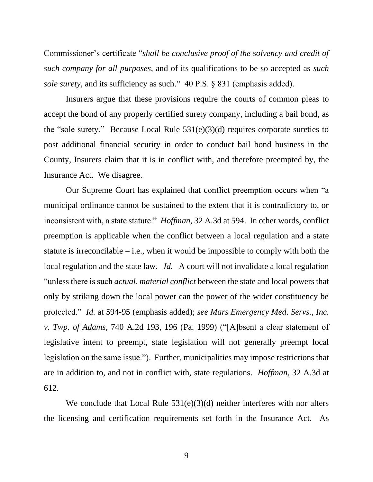Commissioner's certificate "*shall be conclusive proof of the solvency and credit of such company for all purposes*, and of its qualifications to be so accepted as *such sole surety*, and its sufficiency as such." 40 P.S. § 831 (emphasis added).

Insurers argue that these provisions require the courts of common pleas to accept the bond of any properly certified surety company, including a bail bond, as the "sole surety." Because Local Rule  $531(e)(3)(d)$  requires corporate sureties to post additional financial security in order to conduct bail bond business in the County, Insurers claim that it is in conflict with, and therefore preempted by, the Insurance Act. We disagree.

Our Supreme Court has explained that conflict preemption occurs when "a municipal ordinance cannot be sustained to the extent that it is contradictory to, or inconsistent with, a state statute." *Hoffman*, 32 A.3d at 594. In other words, conflict preemption is applicable when the conflict between a local regulation and a state statute is irreconcilable  $-$  i.e., when it would be impossible to comply with both the local regulation and the state law. *Id.* A court will not invalidate a local regulation "unless there is such *actual, material conflict* between the state and local powers that only by striking down the local power can the power of the wider constituency be protected." *Id.* at 594-95 (emphasis added); *see Mars Emergency Med. Servs., Inc. v. Twp. of Adams*, 740 A.2d 193, 196 (Pa. 1999) ("[A]bsent a clear statement of legislative intent to preempt, state legislation will not generally preempt local legislation on the same issue."). Further, municipalities may impose restrictions that are in addition to, and not in conflict with, state regulations. *Hoffman*, 32 A.3d at 612.

We conclude that Local Rule 531(e)(3)(d) neither interferes with nor alters the licensing and certification requirements set forth in the Insurance Act. As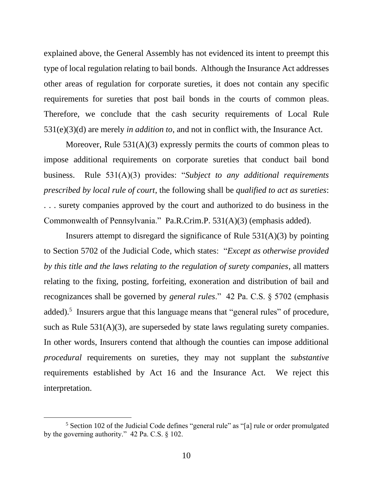explained above, the General Assembly has not evidenced its intent to preempt this type of local regulation relating to bail bonds. Although the Insurance Act addresses other areas of regulation for corporate sureties, it does not contain any specific requirements for sureties that post bail bonds in the courts of common pleas. Therefore, we conclude that the cash security requirements of Local Rule 531(e)(3)(d) are merely *in addition to*, and not in conflict with, the Insurance Act.

Moreover, Rule  $531(A)(3)$  expressly permits the courts of common pleas to impose additional requirements on corporate sureties that conduct bail bond business. Rule 531(A)(3) provides: "*Subject to any additional requirements prescribed by local rule of court*, the following shall be *qualified to act as sureties*: . . . surety companies approved by the court and authorized to do business in the Commonwealth of Pennsylvania." Pa.R.Crim.P. 531(A)(3) (emphasis added).

Insurers attempt to disregard the significance of Rule 531(A)(3) by pointing to Section 5702 of the Judicial Code, which states: "*Except as otherwise provided by this title and the laws relating to the regulation of surety companies*, all matters relating to the fixing, posting, forfeiting, exoneration and distribution of bail and recognizances shall be governed by *general rules*." 42 Pa. C.S. § 5702 (emphasis added).<sup>5</sup> Insurers argue that this language means that "general rules" of procedure, such as Rule 531(A)(3), are superseded by state laws regulating surety companies. In other words, Insurers contend that although the counties can impose additional *procedural* requirements on sureties, they may not supplant the *substantive* requirements established by Act 16 and the Insurance Act. We reject this interpretation.

<sup>5</sup> Section 102 of the Judicial Code defines "general rule" as "[a] rule or order promulgated by the governing authority." 42 Pa. C.S. § 102.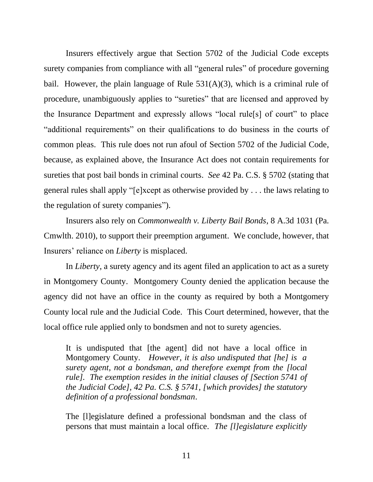Insurers effectively argue that Section 5702 of the Judicial Code excepts surety companies from compliance with all "general rules" of procedure governing bail. However, the plain language of Rule  $531(A)(3)$ , which is a criminal rule of procedure, unambiguously applies to "sureties" that are licensed and approved by the Insurance Department and expressly allows "local rule[s] of court" to place "additional requirements" on their qualifications to do business in the courts of common pleas. This rule does not run afoul of Section 5702 of the Judicial Code, because, as explained above, the Insurance Act does not contain requirements for sureties that post bail bonds in criminal courts. *See* 42 Pa. C.S. § 5702 (stating that general rules shall apply "[e]xcept as otherwise provided by . . . the laws relating to the regulation of surety companies").

Insurers also rely on *Commonwealth v. Liberty Bail Bonds*, 8 A.3d 1031 (Pa. Cmwlth. 2010), to support their preemption argument. We conclude, however, that Insurers' reliance on *Liberty* is misplaced.

In *Liberty*, a surety agency and its agent filed an application to act as a surety in Montgomery County. Montgomery County denied the application because the agency did not have an office in the county as required by both a Montgomery County local rule and the Judicial Code. This Court determined, however, that the local office rule applied only to bondsmen and not to surety agencies.

It is undisputed that [the agent] did not have a local office in Montgomery County. *However, it is also undisputed that [he] is a surety agent, not a bondsman, and therefore exempt from the [local rule]. The exemption resides in the initial clauses of [Section 5741 of the Judicial Code], 42 Pa. C.S. § 5741, [which provides] the statutory definition of a professional bondsman*.

The [l]egislature defined a professional bondsman and the class of persons that must maintain a local office. *The [l]egislature explicitly*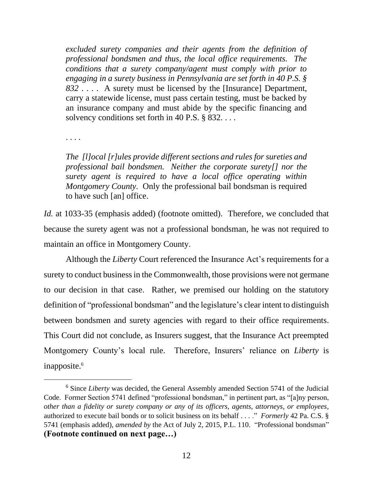*excluded surety companies and their agents from the definition of professional bondsmen and thus, the local office requirements. The conditions that a surety company/agent must comply with prior to engaging in a surety business in Pennsylvania are set forth in 40 P.S. § 832* . . . . A surety must be licensed by the [Insurance] Department, carry a statewide license, must pass certain testing, must be backed by an insurance company and must abide by the specific financing and solvency conditions set forth in 40 P.S. § 832. . . .

. . . .

*The [l]ocal [r]ules provide different sections and rules for sureties and professional bail bondsmen. Neither the corporate surety[] nor the surety agent is required to have a local office operating within Montgomery County.* Only the professional bail bondsman is required to have such [an] office.

*Id.* at 1033-35 (emphasis added) (footnote omitted). Therefore, we concluded that because the surety agent was not a professional bondsman, he was not required to maintain an office in Montgomery County.

Although the *Liberty* Court referenced the Insurance Act's requirements for a surety to conduct business in the Commonwealth, those provisions were not germane to our decision in that case. Rather, we premised our holding on the statutory definition of "professional bondsman" and the legislature's clear intent to distinguish between bondsmen and surety agencies with regard to their office requirements. This Court did not conclude, as Insurers suggest, that the Insurance Act preempted Montgomery County's local rule. Therefore, Insurers' reliance on *Liberty* is inapposite.<sup>6</sup>

<sup>6</sup> Since *Liberty* was decided, the General Assembly amended Section 5741 of the Judicial Code. Former Section 5741 defined "professional bondsman," in pertinent part, as "[a]ny person, *other than a fidelity or surety company or any of its officers, agents, attorneys, or employees*, authorized to execute bail bonds or to solicit business on its behalf . . . ." *Formerly* 42 Pa. C.S. § 5741 (emphasis added), *amended by* the Act of July 2, 2015, P.L. 110. "Professional bondsman" **(Footnote continued on next page…)**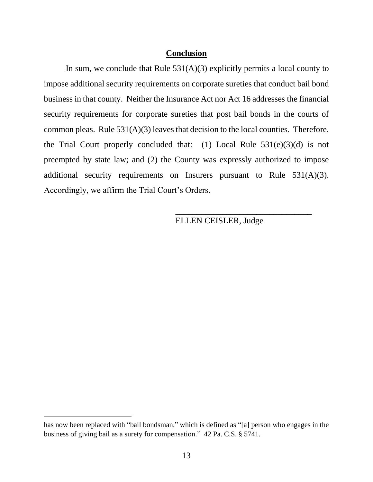### **Conclusion**

In sum, we conclude that Rule  $531(A)(3)$  explicitly permits a local county to impose additional security requirements on corporate sureties that conduct bail bond business in that county. Neither the Insurance Act nor Act 16 addresses the financial security requirements for corporate sureties that post bail bonds in the courts of common pleas. Rule 531(A)(3) leaves that decision to the local counties. Therefore, the Trial Court properly concluded that: (1) Local Rule  $531(e)(3)(d)$  is not preempted by state law; and (2) the County was expressly authorized to impose additional security requirements on Insurers pursuant to Rule 531(A)(3). Accordingly, we affirm the Trial Court's Orders.

ELLEN CEISLER, Judge

\_\_\_\_\_\_\_\_\_\_\_\_\_\_\_\_\_\_\_\_\_\_\_\_\_\_\_\_\_\_\_\_

has now been replaced with "bail bondsman," which is defined as "[a] person who engages in the business of giving bail as a surety for compensation." 42 Pa. C.S. § 5741.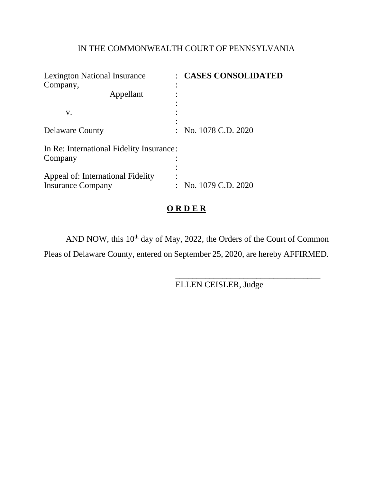# IN THE COMMONWEALTH COURT OF PENNSYLVANIA

| <b>Lexington National Insurance</b><br>Company,               | : CASES CONSOLIDATED |
|---------------------------------------------------------------|----------------------|
| Appellant                                                     |                      |
| V.                                                            |                      |
| <b>Delaware County</b>                                        | : No. 1078 C.D. 2020 |
| In Re: International Fidelity Insurance:<br>Company           |                      |
| Appeal of: International Fidelity<br><b>Insurance Company</b> | : No. 1079 C.D. 2020 |

# **O R D E R**

AND NOW, this 10<sup>th</sup> day of May, 2022, the Orders of the Court of Common

Pleas of Delaware County, entered on September 25, 2020, are hereby AFFIRMED.

ELLEN CEISLER, Judge

\_\_\_\_\_\_\_\_\_\_\_\_\_\_\_\_\_\_\_\_\_\_\_\_\_\_\_\_\_\_\_\_\_\_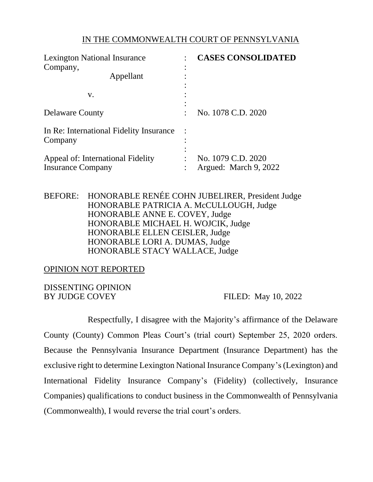### IN THE COMMONWEALTH COURT OF PENNSYLVANIA

| <b>Lexington National Insurance</b><br>Company,               |  | <b>CASES CONSOLIDATED</b>                   |
|---------------------------------------------------------------|--|---------------------------------------------|
| Appellant                                                     |  |                                             |
| V.                                                            |  |                                             |
| <b>Delaware County</b>                                        |  | No. 1078 C.D. 2020                          |
| In Re: International Fidelity Insurance<br>Company            |  |                                             |
| Appeal of: International Fidelity<br><b>Insurance Company</b> |  | No. 1079 C.D. 2020<br>Argued: March 9, 2022 |

BEFORE: HONORABLE RENÉE COHN JUBELIRER, President Judge HONORABLE PATRICIA A. McCULLOUGH, Judge HONORABLE ANNE E. COVEY, Judge HONORABLE MICHAEL H. WOJCIK, Judge HONORABLE ELLEN CEISLER, Judge HONORABLE LORI A. DUMAS, Judge HONORABLE STACY WALLACE, Judge

OPINION NOT REPORTED

DISSENTING OPINION BY JUDGE COVEY FILED: May 10, 2022

Respectfully, I disagree with the Majority's affirmance of the Delaware County (County) Common Pleas Court's (trial court) September 25, 2020 orders. Because the Pennsylvania Insurance Department (Insurance Department) has the exclusive right to determine Lexington National Insurance Company's(Lexington) and International Fidelity Insurance Company's (Fidelity) (collectively, Insurance Companies) qualifications to conduct business in the Commonwealth of Pennsylvania (Commonwealth), I would reverse the trial court's orders.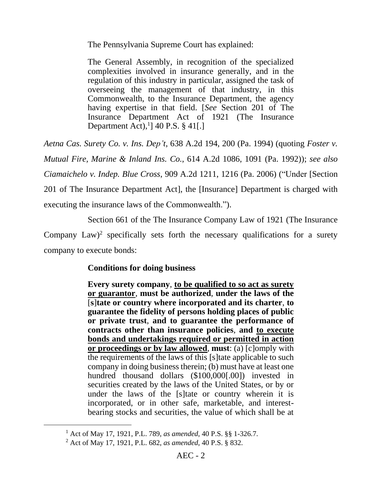The Pennsylvania Supreme Court has explained:

The General Assembly, in recognition of the specialized complexities involved in insurance generally, and in the regulation of this industry in particular, assigned the task of overseeing the management of that industry, in this Commonwealth, to the Insurance Department, the agency having expertise in that field. [*See* Section 201 of The Insurance Department Act of 1921 (The Insurance Department Act), 1 ] 40 P.S. § 41[.]

*Aetna Cas. Surety Co. v. Ins. Dep't*, 638 A.2d 194, 200 (Pa. 1994) (quoting *Foster v. Mutual Fire, Marine & Inland Ins. Co.*, 614 A.2d 1086, 1091 (Pa. 1992)); *see also Ciamaichelo v. Indep. Blue Cross*, 909 A.2d 1211, 1216 (Pa. 2006) ("Under [Section 201 of The Insurance Department Act], the [Insurance] Department is charged with executing the insurance laws of the Commonwealth.").

Section 661 of the The Insurance Company Law of 1921 (The Insurance Company Law)<sup>2</sup> specifically sets forth the necessary qualifications for a surety company to execute bonds:

## **Conditions for doing business**

**Every surety company**, **to be qualified to so act as surety or guarantor**, **must be authorized**, **under the laws of the**  [**s**]**tate or country where incorporated and its charter**, **to guarantee the fidelity of persons holding places of public or private trust**, **and to guarantee the performance of contracts other than insurance policies**, **and to execute bonds and undertakings required or permitted in action or proceedings or by law allowed**, **must**: (a) [c]omply with the requirements of the laws of this [s]tate applicable to such company in doing business therein; (b) must have at least one hundred thousand dollars (\$100,000[.00]) invested in securities created by the laws of the United States, or by or under the laws of the [s]tate or country wherein it is incorporated, or in other safe, marketable, and interestbearing stocks and securities, the value of which shall be at

<sup>1</sup> Act of May 17, 1921, P.L. 789, *as amended*, 40 P.S. §§ 1-326.7.

<sup>2</sup> Act of May 17, 1921, P.L. 682, *as amended*, 40 P.S. § 832.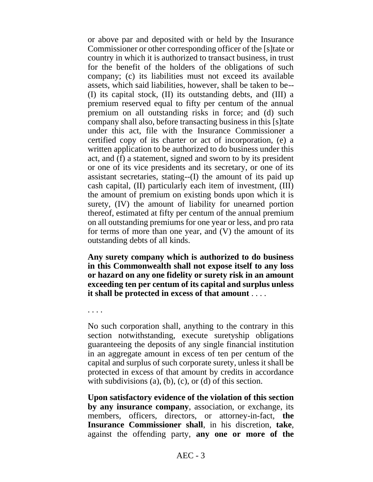or above par and deposited with or held by the Insurance Commissioner or other corresponding officer of the [s]tate or country in which it is authorized to transact business, in trust for the benefit of the holders of the obligations of such company; (c) its liabilities must not exceed its available assets, which said liabilities, however, shall be taken to be-- (I) its capital stock, (II) its outstanding debts, and (III) a premium reserved equal to fifty per centum of the annual premium on all outstanding risks in force; and (d) such company shall also, before transacting business in this [s]tate under this act, file with the Insurance Commissioner a certified copy of its charter or act of incorporation, (e) a written application to be authorized to do business under this act, and (f) a statement, signed and sworn to by its president or one of its vice presidents and its secretary, or one of its assistant secretaries, stating--(I) the amount of its paid up cash capital, (II) particularly each item of investment, (III) the amount of premium on existing bonds upon which it is surety, (IV) the amount of liability for unearned portion thereof, estimated at fifty per centum of the annual premium on all outstanding premiums for one year or less, and pro rata for terms of more than one year, and (V) the amount of its outstanding debts of all kinds.

**Any surety company which is authorized to do business in this Commonwealth shall not expose itself to any loss or hazard on any one fidelity or surety risk in an amount exceeding ten per centum of its capital and surplus unless it shall be protected in excess of that amount** . . . .

. . . .

No such corporation shall, anything to the contrary in this section notwithstanding, execute suretyship obligations guaranteeing the deposits of any single financial institution in an aggregate amount in excess of ten per centum of the capital and surplus of such corporate surety, unless it shall be protected in excess of that amount by credits in accordance with subdivisions  $(a)$ ,  $(b)$ ,  $(c)$ ,  $(c)$  of this section.

**Upon satisfactory evidence of the violation of this section by any insurance company**, association, or exchange, its members, officers, directors, or attorney-in-fact, the **Insurance Commissioner shall**, in his discretion, **take**, against the offending party, **any one or more of the**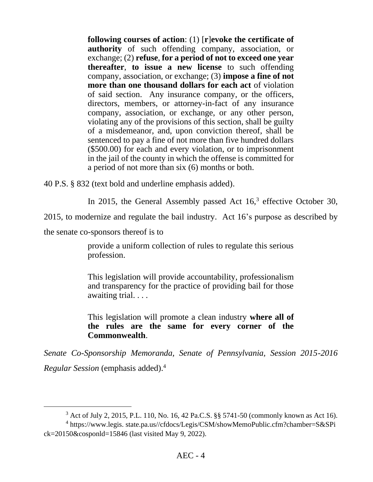**following courses of action**: (1) [**r**]**evoke the certificate of authority** of such offending company, association, or exchange; (2) **refuse**, **for a period of not to exceed one year thereafter**, **to issue a new license** to such offending company, association, or exchange; (3) **impose a fine of not more than one thousand dollars for each act** of violation of said section. Any insurance company, or the officers, directors, members, or attorney-in-fact of any insurance company, association, or exchange, or any other person, violating any of the provisions of this section, shall be guilty of a misdemeanor, and, upon conviction thereof, shall be sentenced to pay a fine of not more than five hundred dollars (\$500.00) for each and every violation, or to imprisonment in the jail of the county in which the offense is committed for a period of not more than six (6) months or both.

40 P.S. § 832 (text bold and underline emphasis added).

In 2015, the General Assembly passed Act  $16<sup>3</sup>$  effective October 30,

2015, to modernize and regulate the bail industry. Act 16's purpose as described by

the senate co-sponsors thereof is to

provide a uniform collection of rules to regulate this serious profession.

This legislation will provide accountability, professionalism and transparency for the practice of providing bail for those awaiting trial. . . .

This legislation will promote a clean industry **where all of the rules are the same for every corner of the Commonwealth**.

*Senate Co-Sponsorship Memoranda, Senate of Pennsylvania, Session 2015-2016 Regular Session* (emphasis added).<sup>4</sup>

<sup>3</sup> Act of July 2, 2015, P.L. 110, No. 16, 42 Pa.C.S. §§ 5741-50 (commonly known as Act 16).

<sup>&</sup>lt;sup>4</sup> https://www.legis. state.pa.us//cfdocs/Legis/CSM/showMemoPublic.cfm?chamber=S&SPi ck=20150&cosponld=15846 (last visited May 9, 2022).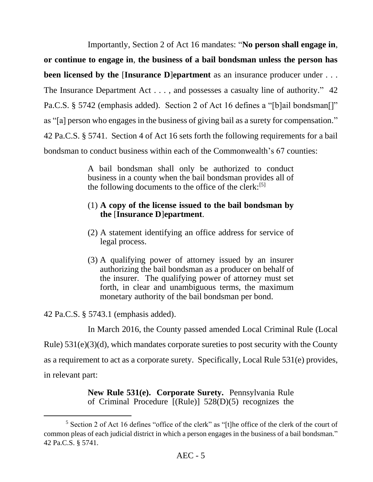Importantly, Section 2 of Act 16 mandates: "**No person shall engage in**,

**or continue to engage in**, **the business of a bail bondsman unless the person has been licensed by the [Insurance D]<b>epartment** as an insurance producer under . . . The Insurance Department Act . . . , and possesses a casualty line of authority." 42 Pa.C.S. § 5742 (emphasis added). Section 2 of Act 16 defines a "[b]ail bondsman[]" as "[a] person who engages in the business of giving bail as a surety for compensation." 42 Pa.C.S. § 5741. Section 4 of Act 16 sets forth the following requirements for a bail bondsman to conduct business within each of the Commonwealth's 67 counties:

> A bail bondsman shall only be authorized to conduct business in a county when the bail bondsman provides all of the following documents to the office of the clerk: $[5]$

## (1) **A copy of the license issued to the bail bondsman by the** [**Insurance D**]**epartment**.

- (2) A statement identifying an office address for service of legal process.
- (3) A qualifying power of attorney issued by an insurer authorizing the bail bondsman as a producer on behalf of the insurer. The qualifying power of attorney must set forth, in clear and unambiguous terms, the maximum monetary authority of the bail bondsman per bond.

42 Pa.C.S. § 5743.1 (emphasis added).

In March 2016, the County passed amended Local Criminal Rule (Local

Rule) 531(e)(3)(d), which mandates corporate sureties to post security with the County

as a requirement to act as a corporate surety. Specifically, Local Rule 531(e) provides,

in relevant part:

**New Rule 531(e). Corporate Surety.** Pennsylvania Rule of Criminal Procedure [(Rule)] 528(D)(5) recognizes the

<sup>5</sup> Section 2 of Act 16 defines "office of the clerk" as "[t]he office of the clerk of the court of common pleas of each judicial district in which a person engages in the business of a bail bondsman." 42 Pa.C.S. § 5741.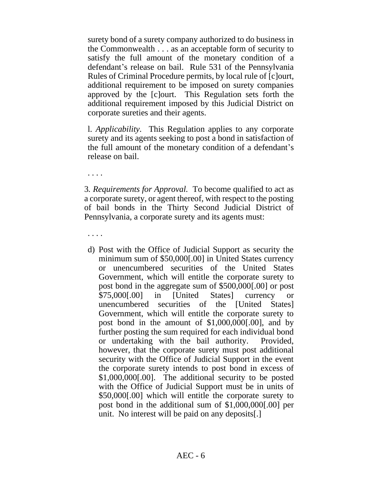surety bond of a surety company authorized to do business in the Commonwealth . . . as an acceptable form of security to satisfy the full amount of the monetary condition of a defendant's release on bail. Rule 531 of the Pennsylvania Rules of Criminal Procedure permits, by local rule of [c]ourt, additional requirement to be imposed on surety companies approved by the [c]ourt. This Regulation sets forth the additional requirement imposed by this Judicial District on corporate sureties and their agents.

l. *Applicability.* This Regulation applies to any corporate surety and its agents seeking to post a bond in satisfaction of the full amount of the monetary condition of a defendant's release on bail.

. . . .

3*. Requirements for Approval.* To become qualified to act as a corporate surety, or agent thereof, with respect to the posting of bail bonds in the Thirty Second Judicial District of Pennsylvania, a corporate surety and its agents must:

. . . .

d) Post with the Office of Judicial Support as security the minimum sum of \$50,000[.00] in United States currency or unencumbered securities of the United States Government, which will entitle the corporate surety to post bond in the aggregate sum of \$500,000[.00] or post \$75,000[.00] in [United States] currency or unencumbered securities of the [United States] Government, which will entitle the corporate surety to post bond in the amount of \$1,000,000[.00], and by further posting the sum required for each individual bond or undertaking with the bail authority. Provided, however, that the corporate surety must post additional security with the Office of Judicial Support in the event the corporate surety intends to post bond in excess of \$1,000,000[.00]. The additional security to be posted with the Office of Judicial Support must be in units of \$50,000[.00] which will entitle the corporate surety to post bond in the additional sum of \$1,000,000[.00] per unit. No interest will be paid on any deposits[.]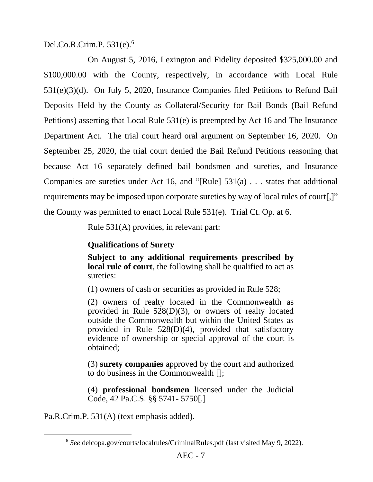Del.Co.R.Crim.P. 531(e).<sup>6</sup>

On August 5, 2016, Lexington and Fidelity deposited \$325,000.00 and \$100,000.00 with the County, respectively, in accordance with Local Rule 531(e)(3)(d). On July 5, 2020, Insurance Companies filed Petitions to Refund Bail Deposits Held by the County as Collateral/Security for Bail Bonds (Bail Refund Petitions) asserting that Local Rule 531(e) is preempted by Act 16 and The Insurance Department Act. The trial court heard oral argument on September 16, 2020. On September 25, 2020, the trial court denied the Bail Refund Petitions reasoning that because Act 16 separately defined bail bondsmen and sureties, and Insurance Companies are sureties under Act 16, and "[Rule] 531(a) . . . states that additional requirements may be imposed upon corporate sureties by way of local rules of court[,]" the County was permitted to enact Local Rule 531(e). Trial Ct. Op. at 6.

Rule 531(A) provides, in relevant part:

## **Qualifications of Surety**

**Subject to any additional requirements prescribed by local rule of court**, the following shall be qualified to act as sureties:

(1) owners of cash or securities as provided in Rule 528;

(2) owners of realty located in the Commonwealth as provided in Rule 528(D)(3), or owners of realty located outside the Commonwealth but within the United States as provided in Rule 528(D)(4), provided that satisfactory evidence of ownership or special approval of the court is obtained;

(3) **surety companies** approved by the court and authorized to do business in the Commonwealth [];

(4) **professional bondsmen** licensed under the Judicial Code, 42 Pa.C.S. §§ 5741- 5750[.]

Pa.R.Crim.P. 531(A) (text emphasis added).

<sup>6</sup> *See* delcopa.gov/courts/localrules/CriminalRules.pdf (last visited May 9, 2022).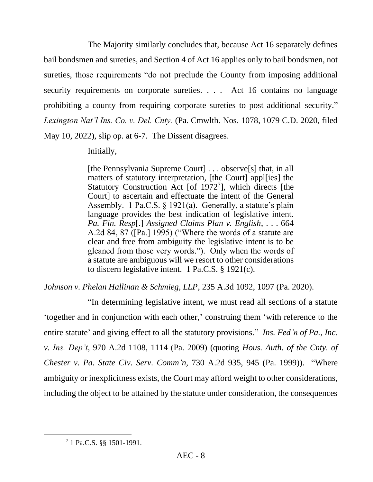The Majority similarly concludes that, because Act 16 separately defines bail bondsmen and sureties, and Section 4 of Act 16 applies only to bail bondsmen, not sureties, those requirements "do not preclude the County from imposing additional security requirements on corporate sureties. . . . Act 16 contains no language prohibiting a county from requiring corporate sureties to post additional security." *Lexington Nat'l Ins. Co. v. Del. Cnty.* (Pa. Cmwlth. Nos. 1078, 1079 C.D. 2020, filed May 10, 2022), slip op. at 6-7. The Dissent disagrees.

Initially,

[the Pennsylvania Supreme Court] . . . observe[s] that, in all matters of statutory interpretation, [the Court] appl[ies] the Statutory Construction Act [of 1972<sup>7</sup>], which directs [the Court] to ascertain and effectuate the intent of the General Assembly. 1 Pa.C.S. § 1921(a). Generally, a statute's plain language provides the best indication of legislative intent. *Pa. Fin. Resp*[.] *Assigned Claims Plan v. English*, . . . 664 A.2d 84, 87 ([Pa.] 1995) ("Where the words of a statute are clear and free from ambiguity the legislative intent is to be gleaned from those very words."). Only when the words of a statute are ambiguous will we resort to other considerations to discern legislative intent. 1 Pa.C.S. § 1921(c).

*Johnson v. Phelan Hallinan & Schmieg, LLP*, 235 A.3d 1092, 1097 (Pa. 2020).

"In determining legislative intent, we must read all sections of a statute 'together and in conjunction with each other,' construing them 'with reference to the entire statute' and giving effect to all the statutory provisions." *Ins. Fed'n of Pa., Inc. v. Ins. Dep't*, 970 A.2d 1108, 1114 (Pa. 2009) (quoting *Hous. Auth. of the Cnty. of Chester v. Pa. State Civ. Serv. Comm'n*, 730 A.2d 935, 945 (Pa. 1999)). "Where ambiguity or inexplicitness exists, the Court may afford weight to other considerations, including the object to be attained by the statute under consideration, the consequences

<sup>7</sup> 1 Pa.C.S. §§ 1501-1991.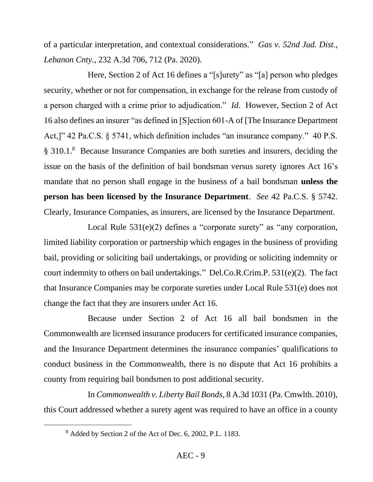of a particular interpretation, and contextual considerations." *Gas v. 52nd Jud. Dist., Lebanon Cnty.*, 232 A.3d 706, 712 (Pa. 2020).

Here, Section 2 of Act 16 defines a "[s]urety" as "[a] person who pledges security, whether or not for compensation, in exchange for the release from custody of a person charged with a crime prior to adjudication." *Id*.However, Section 2 of Act 16 also defines an insurer "as defined in [S]ection 601-A of [The Insurance Department Act,]" 42 Pa.C.S. § 5741, which definition includes "an insurance company." 40 P.S. § 310.1.<sup>8</sup> Because Insurance Companies are both sureties and insurers, deciding the issue on the basis of the definition of bail bondsman versus surety ignores Act 16's mandate that no person shall engage in the business of a bail bondsman **unless the person has been licensed by the Insurance Department**. *See* 42 Pa.C.S. § 5742. Clearly, Insurance Companies, as insurers, are licensed by the Insurance Department.

Local Rule 531(e)(2) defines a "corporate surety" as "any corporation, limited liability corporation or partnership which engages in the business of providing bail, providing or soliciting bail undertakings, or providing or soliciting indemnity or court indemnity to others on bail undertakings." Del.Co.R.Crim.P. 531(e)(2). The fact that Insurance Companies may be corporate sureties under Local Rule 531(e) does not change the fact that they are insurers under Act 16.

Because under Section 2 of Act 16 all bail bondsmen in the Commonwealth are licensed insurance producers for certificated insurance companies, and the Insurance Department determines the insurance companies' qualifications to conduct business in the Commonwealth, there is no dispute that Act 16 prohibits a county from requiring bail bondsmen to post additional security.

In *Commonwealth v. Liberty Bail Bonds*, 8 A.3d 1031 (Pa. Cmwlth. 2010), this Court addressed whether a surety agent was required to have an office in a county

<sup>8</sup> Added by Section 2 of the Act of Dec. 6, 2002, P.L. 1183.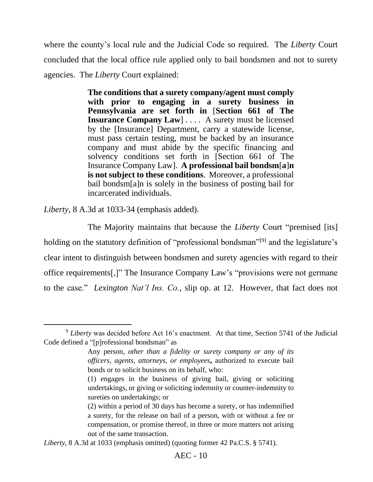where the county's local rule and the Judicial Code so required. The *Liberty* Court concluded that the local office rule applied only to bail bondsmen and not to surety agencies. The *Liberty* Court explained:

> **The conditions that a surety company/agent must comply with prior to engaging in a surety business in Pennsylvania are set forth in** [**Section 661 of The Insurance Company Law**] . . . *.* A surety must be licensed by the [Insurance] Department, carry a statewide license, must pass certain testing, must be backed by an insurance company and must abide by the specific financing and solvency conditions set forth in [Section 661 of The Insurance Company Law]. **A professional bail bondsm**[**a**]**n is not subject to these conditions**. Moreover, a professional bail bondsm[a]n is solely in the business of posting bail for incarcerated individuals.

*Liberty*, 8 A.3d at 1033-34 (emphasis added).

The Majority maintains that because the *Liberty* Court "premised [its] holding on the statutory definition of "professional bondsman"<sup>[9]</sup> and the legislature's clear intent to distinguish between bondsmen and surety agencies with regard to their office requirements[,]" The Insurance Company Law's "provisions were not germane to the case." *Lexington Nat'l Ins. Co.*, slip op. at 12. However, that fact does not

<sup>&</sup>lt;sup>9</sup> Liberty was decided before Act 16's enactment. At that time, Section 5741 of the Judicial Code defined a "[p]rofessional bondsman" as

Any person, *other than a fidelity or surety company or any of its officers, agents, attorneys, or employees***,** authorized to execute bail bonds or to solicit business on its behalf, who:

<sup>(1)</sup> engages in the business of giving bail, giving or soliciting undertakings, or giving or soliciting indemnity or counter-indemnity to sureties on undertakings; or

<sup>(2)</sup> within a period of 30 days has become a surety, or has indemnified a surety, for the release on bail of a person, with or without a fee or compensation, or promise thereof, in three or more matters not arising out of the same transaction.

*Liberty*, 8 A.3d at 1033 (emphasis omitted) (quoting former 42 Pa.C.S. § 5741).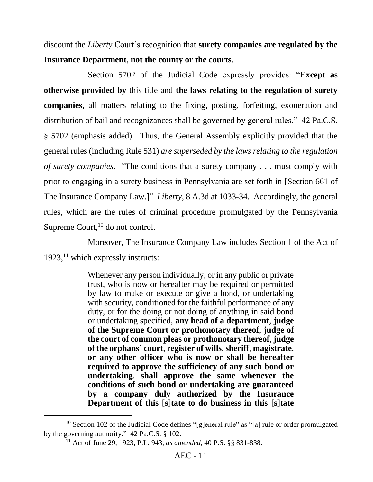discount the *Liberty* Court's recognition that **surety companies are regulated by the Insurance Department**, **not the county or the courts**.

Section 5702 of the Judicial Code expressly provides: "**Except as otherwise provided by** this title and **the laws relating to the regulation of surety companies**, all matters relating to the fixing, posting, forfeiting, exoneration and distribution of bail and recognizances shall be governed by general rules." 42 Pa.C.S. § 5702 (emphasis added). Thus, the General Assembly explicitly provided that the general rules (including Rule 531) *are superseded by the laws relating to the regulation of surety companies*. "The conditions that a surety company . . . must comply with prior to engaging in a surety business in Pennsylvania are set forth in [Section 661 of The Insurance Company Law.]" *Liberty*, 8 A.3d at 1033-34. Accordingly, the general rules, which are the rules of criminal procedure promulgated by the Pennsylvania Supreme Court, $^{10}$  do not control.

Moreover, The Insurance Company Law includes Section 1 of the Act of 1923,<sup>11</sup> which expressly instructs:

> Whenever any person individually, or in any public or private trust, who is now or hereafter may be required or permitted by law to make or execute or give a bond, or undertaking with security, conditioned for the faithful performance of any duty, or for the doing or not doing of anything in said bond or undertaking specified, **any head of a department**, **judge of the Supreme Court or prothonotary thereof**, **judge of the court of common pleas or prothonotary thereof**, **judge of the orphans**' **court**, **register of wills**,**sheriff**, **magistrate**, **or any other officer who is now or shall be hereafter required to approve the sufficiency of any such bond or undertaking**, **shall approve the same whenever the conditions of such bond or undertaking are guaranteed by a company duly authorized by the Insurance Department of this** [**s**]**tate to do business in this** [**s**]**tate**

<sup>&</sup>lt;sup>10</sup> Section 102 of the Judicial Code defines "[g]eneral rule" as "[a] rule or order promulgated by the governing authority." 42 Pa.C.S. § 102.

<sup>11</sup> Act of June 29, 1923, P.L. 943, *as amended*, 40 P.S. §§ 831-838.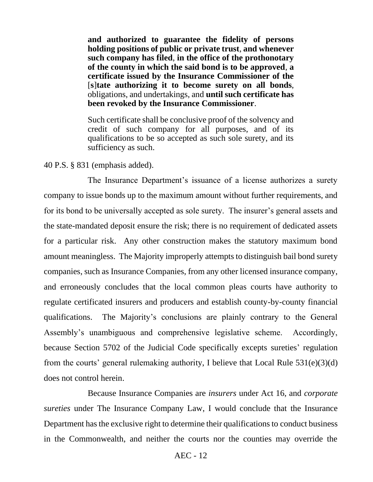**and authorized to guarantee the fidelity of persons holding positions of public or private trust**, **and whenever such company has filed**, **in the office of the prothonotary of the county in which the said bond is to be approved**, **a certificate issued by the Insurance Commissioner of the**  [**s**]**tate authorizing it to become surety on all bonds**, obligations, and undertakings, and **until such certificate has been revoked by the Insurance Commissioner**.

Such certificate shall be conclusive proof of the solvency and credit of such company for all purposes, and of its qualifications to be so accepted as such sole surety, and its sufficiency as such.

### 40 P.S. § 831 (emphasis added).

The Insurance Department's issuance of a license authorizes a surety company to issue bonds up to the maximum amount without further requirements, and for its bond to be universally accepted as sole surety. The insurer's general assets and the state-mandated deposit ensure the risk; there is no requirement of dedicated assets for a particular risk. Any other construction makes the statutory maximum bond amount meaningless. The Majority improperly attempts to distinguish bail bond surety companies, such as Insurance Companies, from any other licensed insurance company, and erroneously concludes that the local common pleas courts have authority to regulate certificated insurers and producers and establish county-by-county financial qualifications. The Majority's conclusions are plainly contrary to the General Assembly's unambiguous and comprehensive legislative scheme. Accordingly, because Section 5702 of the Judicial Code specifically excepts sureties' regulation from the courts' general rulemaking authority, I believe that Local Rule 531(e)(3)(d) does not control herein.

Because Insurance Companies are *insurers* under Act 16, and *corporate sureties* under The Insurance Company Law, I would conclude that the Insurance Department has the exclusive right to determine their qualifications to conduct business in the Commonwealth, and neither the courts nor the counties may override the